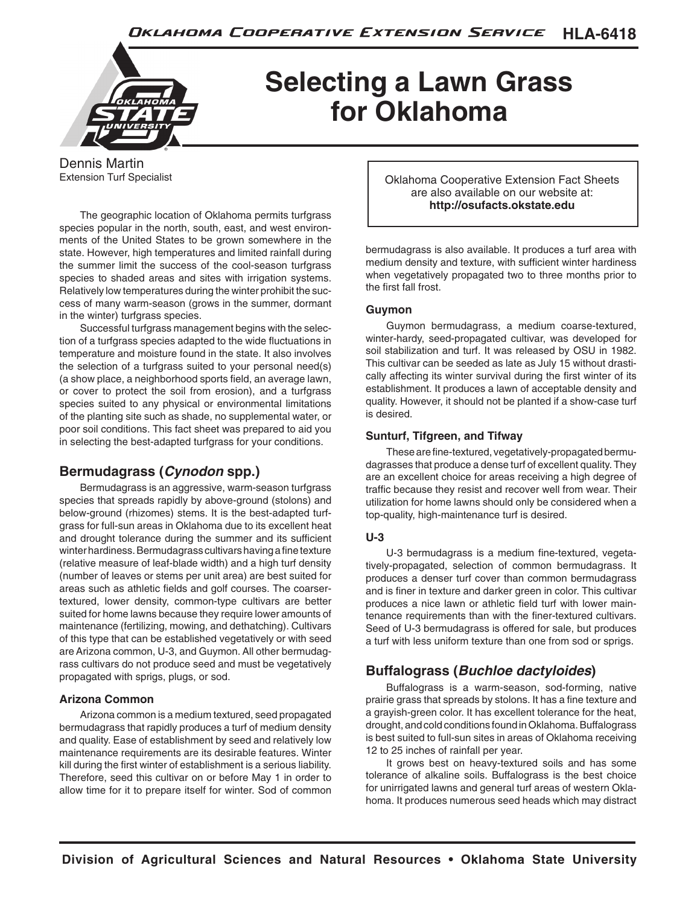

## **Selecting a Lawn Grass for Oklahoma**

Dennis Martin Extension Turf Specialist

The geographic location of Oklahoma permits turfgrass species popular in the north, south, east, and west environments of the United States to be grown somewhere in the state. However, high temperatures and limited rainfall during the summer limit the success of the cool-season turfgrass species to shaded areas and sites with irrigation systems. Relatively low temperatures during the winter prohibit the success of many warm-season (grows in the summer, dormant in the winter) turfgrass species.

Successful turfgrass management begins with the selection of a turfgrass species adapted to the wide fluctuations in temperature and moisture found in the state. It also involves the selection of a turfgrass suited to your personal need(s) (a show place, a neighborhood sports field, an average lawn, or cover to protect the soil from erosion), and a turfgrass species suited to any physical or environmental limitations of the planting site such as shade, no supplemental water, or poor soil conditions. This fact sheet was prepared to aid you in selecting the best-adapted turfgrass for your conditions.

## **Bermudagrass (***Cynodon* **spp.)**

Bermudagrass is an aggressive, warm-season turfgrass species that spreads rapidly by above-ground (stolons) and below-ground (rhizomes) stems. It is the best-adapted turfgrass for full-sun areas in Oklahoma due to its excellent heat and drought tolerance during the summer and its sufficient winter hardiness. Bermudagrass cultivars having a fine texture (relative measure of leaf-blade width) and a high turf density (number of leaves or stems per unit area) are best suited for areas such as athletic fields and golf courses. The coarsertextured, lower density, common-type cultivars are better suited for home lawns because they require lower amounts of maintenance (fertilizing, mowing, and dethatching). Cultivars of this type that can be established vegetatively or with seed are Arizona common, U-3, and Guymon. All other bermudagrass cultivars do not produce seed and must be vegetatively propagated with sprigs, plugs, or sod.

## **Arizona Common**

Arizona common is a medium textured, seed propagated bermudagrass that rapidly produces a turf of medium density and quality. Ease of establishment by seed and relatively low maintenance requirements are its desirable features. Winter kill during the first winter of establishment is a serious liability. Therefore, seed this cultivar on or before May 1 in order to allow time for it to prepare itself for winter. Sod of common Oklahoma Cooperative Extension Fact Sheets are also available on our website at: **http://osufacts.okstate.edu**

bermudagrass is also available. It produces a turf area with medium density and texture, with sufficient winter hardiness when vegetatively propagated two to three months prior to the first fall frost.

#### **Guymon**

Guymon bermudagrass, a medium coarse-textured, winter-hardy, seed-propagated cultivar, was developed for soil stabilization and turf. It was released by OSU in 1982. This cultivar can be seeded as late as July 15 without drastically affecting its winter survival during the first winter of its establishment. It produces a lawn of acceptable density and quality. However, it should not be planted if a show-case turf is desired.

#### **Sunturf, Tifgreen, and Tifway**

These are fine-textured, vegetatively-propagated bermudagrasses that produce a dense turf of excellent quality. They are an excellent choice for areas receiving a high degree of traffic because they resist and recover well from wear. Their utilization for home lawns should only be considered when a top-quality, high-maintenance turf is desired.

## **U-3**

U-3 bermudagrass is a medium fine-textured, vegetatively-propagated, selection of common bermudagrass. It produces a denser turf cover than common bermudagrass and is finer in texture and darker green in color. This cultivar produces a nice lawn or athletic field turf with lower maintenance requirements than with the finer-textured cultivars. Seed of U-3 bermudagrass is offered for sale, but produces a turf with less uniform texture than one from sod or sprigs.

## **Buffalograss (***Buchloe dactyloides***)**

Buffalograss is a warm-season, sod-forming, native prairie grass that spreads by stolons. It has a fine texture and a grayish-green color. It has excellent tolerance for the heat, drought, and cold conditions found in Oklahoma. Buffalograss is best suited to full-sun sites in areas of Oklahoma receiving 12 to 25 inches of rainfall per year.

It grows best on heavy-textured soils and has some tolerance of alkaline soils. Buffalograss is the best choice for unirrigated lawns and general turf areas of western Oklahoma. It produces numerous seed heads which may distract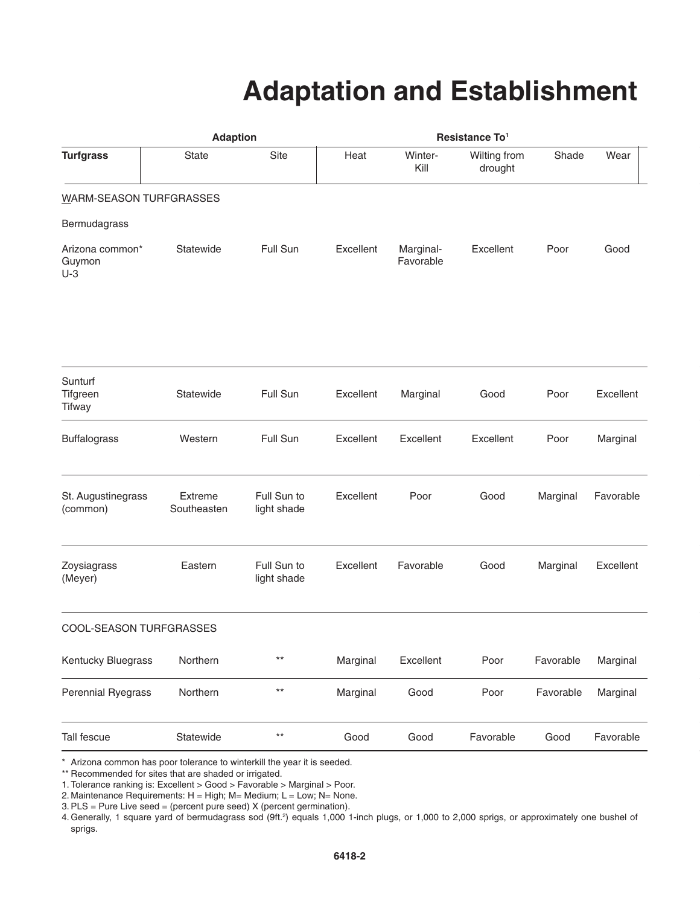## **Adaptation and Establishment**

|                                      | <b>Adaption</b>        |                            | Resistance To <sup>1</sup> |                        |                         |           |           |  |
|--------------------------------------|------------------------|----------------------------|----------------------------|------------------------|-------------------------|-----------|-----------|--|
| <b>Turfgrass</b>                     | <b>State</b>           | Site                       | Heat                       | Winter-<br>Kill        | Wilting from<br>drought | Shade     | Wear      |  |
| WARM-SEASON TURFGRASSES              |                        |                            |                            |                        |                         |           |           |  |
| Bermudagrass                         |                        |                            |                            |                        |                         |           |           |  |
| Arizona common*<br>Guymon<br>$U-3$   | Statewide              | Full Sun                   | Excellent                  | Marginal-<br>Favorable | Excellent               | Poor      | Good      |  |
|                                      |                        |                            |                            |                        |                         |           |           |  |
| Sunturf<br>Tifgreen<br><b>Tifway</b> | Statewide              | Full Sun                   | Excellent                  | Marginal               | Good                    | Poor      | Excellent |  |
| <b>Buffalograss</b>                  | Western                | Full Sun                   | Excellent                  | Excellent              | Excellent               | Poor      | Marginal  |  |
| St. Augustinegrass<br>(common)       | Extreme<br>Southeasten | Full Sun to<br>light shade | Excellent                  | Poor                   | Good                    | Marginal  | Favorable |  |
| Zoysiagrass<br>(Meyer)               | Eastern                | Full Sun to<br>light shade | Excellent                  | Favorable              | Good                    | Marginal  | Excellent |  |
| COOL-SEASON TURFGRASSES              |                        |                            |                            |                        |                         |           |           |  |
| Kentucky Bluegrass                   | Northern               | $***$                      | Marginal                   | Excellent              | Poor                    | Favorable | Marginal  |  |
| <b>Perennial Ryegrass</b>            | Northern               | $***$                      | Marginal                   | Good                   | Poor                    | Favorable | Marginal  |  |
| Tall fescue                          | Statewide              | $***$                      | Good                       | Good                   | Favorable               | Good      | Favorable |  |

\* Arizona common has poor tolerance to winterkill the year it is seeded.

\*\* Recommended for sites that are shaded or irrigated.

1. Tolerance ranking is: Excellent > Good > Favorable > Marginal > Poor.

2. Maintenance Requirements:  $H = High$ ; M= Medium; L = Low; N= None.

3.PLS = Pure Live seed = (percent pure seed) X (percent germination).

4. Generally, 1 square yard of bermudagrass sod (9ft.<sup>2</sup>) equals 1,000 1-inch plugs, or 1,000 to 2,000 sprigs, or approximately one bushel of sprigs.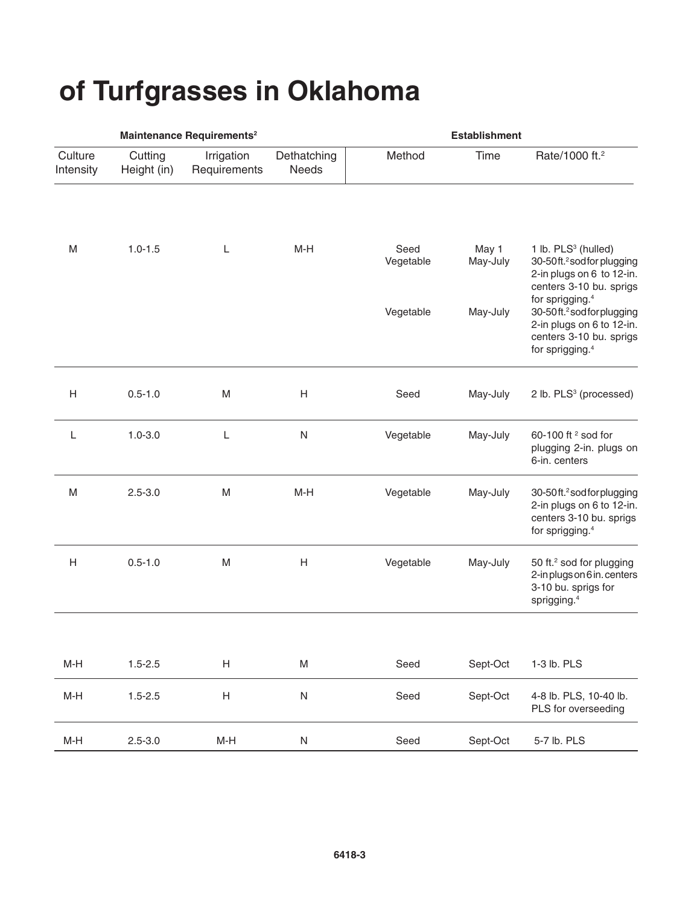# **of Turfgrasses in Oklahoma**

|                      |                        | Maintenance Requirements <sup>2</sup> |                      | <b>Establishment</b> |                   |                                                                                                                                                              |  |
|----------------------|------------------------|---------------------------------------|----------------------|----------------------|-------------------|--------------------------------------------------------------------------------------------------------------------------------------------------------------|--|
| Culture<br>Intensity | Cutting<br>Height (in) | Irrigation<br>Requirements            | Dethatching<br>Needs | Method               | Time              | Rate/1000 ft. <sup>2</sup>                                                                                                                                   |  |
| ${\sf M}$            | $1.0 - 1.5$            | L                                     | $M-H$                | Seed<br>Vegetable    | May 1<br>May-July | 1 lb. PLS <sup>3</sup> (hulled)<br>30-50ft. <sup>2</sup> sod for plugging<br>2-in plugs on 6 to 12-in.<br>centers 3-10 bu. sprigs                            |  |
|                      |                        |                                       |                      | Vegetable            | May-July          | for sprigging. <sup>4</sup><br>30-50ft. <sup>2</sup> sod for plugging<br>2-in plugs on 6 to 12-in.<br>centers 3-10 bu. sprigs<br>for sprigging. <sup>4</sup> |  |
| H                    | $0.5 - 1.0$            | M                                     | Н                    | Seed                 | May-July          | 2 lb. PLS <sup>3</sup> (processed)                                                                                                                           |  |
| L                    | $1.0 - 3.0$            | L                                     | ${\sf N}$            | Vegetable            | May-July          | 60-100 ft <sup>2</sup> sod for<br>plugging 2-in. plugs on<br>6-in. centers                                                                                   |  |
| ${\sf M}$            | $2.5 - 3.0$            | M                                     | $M-H$                | Vegetable            | May-July          | 30-50ft. <sup>2</sup> sod for plugging<br>2-in plugs on 6 to 12-in.<br>centers 3-10 bu. sprigs<br>for sprigging. <sup>4</sup>                                |  |
| H                    | $0.5 - 1.0$            | ${\sf M}$                             | Н                    | Vegetable            | May-July          | 50 ft. <sup>2</sup> sod for plugging<br>2-in plugs on 6 in. centers<br>3-10 bu. sprigs for<br>sprigging. <sup>4</sup>                                        |  |
| $M-H$                | $1.5 - 2.5$            | Н                                     | M                    | Seed                 | Sept-Oct          | 1-3 lb. PLS                                                                                                                                                  |  |
| $M-H$                | $1.5 - 2.5$            | $\boldsymbol{\mathsf{H}}$             | ${\sf N}$            | Seed                 | Sept-Oct          | 4-8 lb. PLS, 10-40 lb.<br>PLS for overseeding                                                                                                                |  |
| $M-H$                | $2.5 - 3.0$            | $M-H$                                 | ${\sf N}$            | Seed                 | Sept-Oct          | 5-7 lb. PLS                                                                                                                                                  |  |